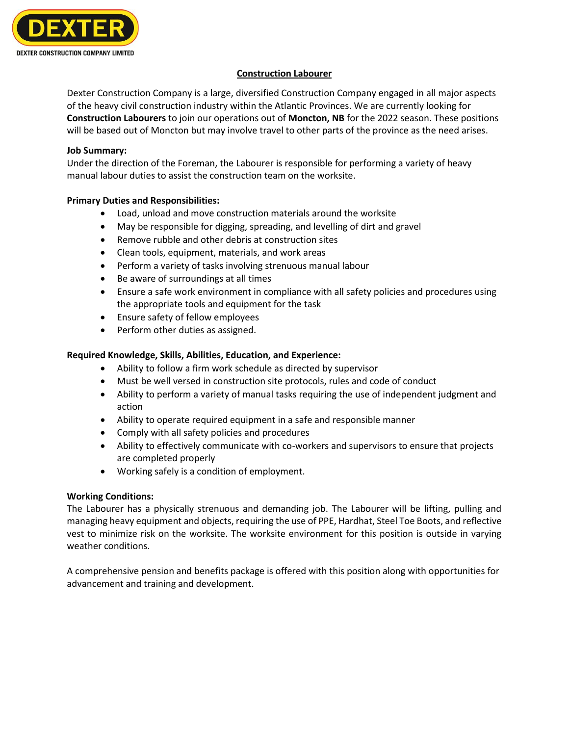

### **Construction Labourer**

Dexter Construction Company is a large, diversified Construction Company engaged in all major aspects of the heavy civil construction industry within the Atlantic Provinces. We are currently looking for **Construction Labourers** to join our operations out of **Moncton, NB** for the 2022 season. These positions will be based out of Moncton but may involve travel to other parts of the province as the need arises.

#### **Job Summary:**

Under the direction of the Foreman, the Labourer is responsible for performing a variety of heavy manual labour duties to assist the construction team on the worksite.

### **Primary Duties and Responsibilities:**

- Load, unload and move construction materials around the worksite
- May be responsible for digging, spreading, and levelling of dirt and gravel
- Remove rubble and other debris at construction sites
- Clean tools, equipment, materials, and work areas
- Perform a variety of tasks involving strenuous manual labour
- Be aware of surroundings at all times
- Ensure a safe work environment in compliance with all safety policies and procedures using the appropriate tools and equipment for the task
- Ensure safety of fellow employees
- Perform other duties as assigned.

# **Required Knowledge, Skills, Abilities, Education, and Experience:**

- Ability to follow a firm work schedule as directed by supervisor
- Must be well versed in construction site protocols, rules and code of conduct
- Ability to perform a variety of manual tasks requiring the use of independent judgment and action
- Ability to operate required equipment in a safe and responsible manner
- Comply with all safety policies and procedures
- Ability to effectively communicate with co-workers and supervisors to ensure that projects are completed properly
- Working safely is a condition of employment.

# **Working Conditions:**

The Labourer has a physically strenuous and demanding job. The Labourer will be lifting, pulling and managing heavy equipment and objects, requiring the use of PPE, Hardhat, Steel Toe Boots, and reflective vest to minimize risk on the worksite. The worksite environment for this position is outside in varying weather conditions.

A comprehensive pension and benefits package is offered with this position along with opportunities for advancement and training and development.